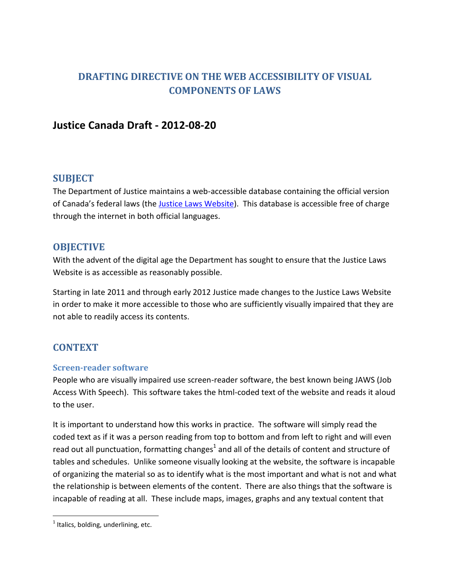# **DRAFTING DIRECTIVE ON THE WEB ACCESSIBILITY OF VISUAL COMPONENTS OF LAWS**

## **Justice Canada Draft - 2012-08-20**

## **SUBJECT**

The Department of Justice maintains a web-accessible database containing the official version of Canada's federal laws (the [Justice Laws Website\)](http://laws-lois.justice.gc.ca/eng/). This database is accessible free of charge through the internet in both official languages.

### **OBJECTIVE**

With the advent of the digital age the Department has sought to ensure that the Justice Laws Website is as accessible as reasonably possible.

Starting in late 2011 and through early 2012 Justice made changes to the Justice Laws Website in order to make it more accessible to those who are sufficiently visually impaired that they are not able to readily access its contents.

## **CONTEXT**

#### **Screen-reader software**

People who are visually impaired use screen-reader software, the best known being JAWS (Job Access With Speech). This software takes the html-coded text of the website and reads it aloud to the user.

It is important to understand how this works in practice. The software will simply read the coded text as if it was a person reading from top to bottom and from left to right and will even read out all punctuation, formatting changes<sup>1</sup> and all of the details of content and structure of tables and schedules. Unlike someone visually looking at the website, the software is incapable of organizing the material so as to identify what is the most important and what is not and what the relationship is between elements of the content. There are also things that the software is incapable of reading at all. These include maps, images, graphs and any textual content that

 $\overline{a}$ 

 $<sup>1</sup>$  Italics, bolding, underlining, etc.</sup>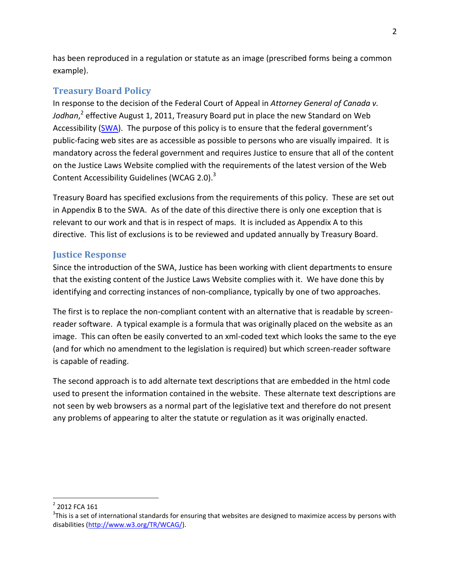has been reproduced in a regulation or statute as an image (prescribed forms being a common example).

## **Treasury Board Policy**

In response to the decision of the Federal Court of Appeal in *Attorney General of Canada v. Jodhan*, 2 effective August 1, 2011, Treasury Board put in place the new Standard on Web Accessibility [\(SWA\)](http://www.tbs-sct.gc.ca/pol/doc-eng.aspx?section=text&id=23601). The purpose of this policy is to ensure that the federal government's public-facing web sites are as accessible as possible to persons who are visually impaired. It is mandatory across the federal government and requires Justice to ensure that all of the content on the Justice Laws Website complied with the requirements of the latest version of the Web Content Accessibility Guidelines (WCAG 2.0).<sup>3</sup>

Treasury Board has specified exclusions from the requirements of this policy. These are set out in Appendix B to the SWA. As of the date of this directive there is only one exception that is relevant to our work and that is in respect of maps. It is included as Appendix A to this directive. This list of exclusions is to be reviewed and updated annually by Treasury Board.

### **Justice Response**

Since the introduction of the SWA, Justice has been working with client departments to ensure that the existing content of the Justice Laws Website complies with it. We have done this by identifying and correcting instances of non-compliance, typically by one of two approaches.

The first is to replace the non-compliant content with an alternative that is readable by screenreader software. A typical example is a formula that was originally placed on the website as an image. This can often be easily converted to an xml-coded text which looks the same to the eye (and for which no amendment to the legislation is required) but which screen-reader software is capable of reading.

The second approach is to add alternate text descriptions that are embedded in the html code used to present the information contained in the website. These alternate text descriptions are not seen by web browsers as a normal part of the legislative text and therefore do not present any problems of appearing to alter the statute or regulation as it was originally enacted.

 $\overline{a}$  $2$  2012 FCA 161

 $3$ This is a set of international standards for ensuring that websites are designed to maximize access by persons with disabilities [\(http://www.w3.org/TR/WCAG/\)](http://www.w3.org/TR/WCAG/).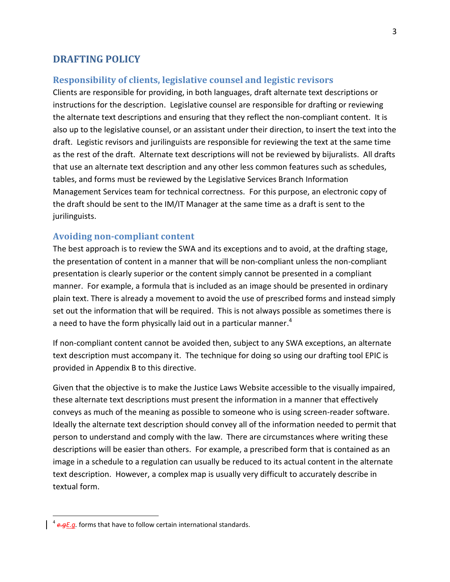#### **DRAFTING POLICY**

#### **Responsibility of clients, legislative counsel and legistic revisors**

Clients are responsible for providing, in both languages, draft alternate text descriptions or instructions for the description. Legislative counsel are responsible for drafting or reviewing the alternate text descriptions and ensuring that they reflect the non-compliant content. It is also up to the legislative counsel, or an assistant under their direction, to insert the text into the draft. Legistic revisors and jurilinguists are responsible for reviewing the text at the same time as the rest of the draft. Alternate text descriptions will not be reviewed by bijuralists. All drafts that use an alternate text description and any other less common features such as schedules, tables, and forms must be reviewed by the Legislative Services Branch Information Management Services team for technical correctness. For this purpose, an electronic copy of the draft should be sent to the IM/IT Manager at the same time as a draft is sent to the jurilinguists.

#### **Avoiding non-compliant content**

The best approach is to review the SWA and its exceptions and to avoid, at the drafting stage, the presentation of content in a manner that will be non-compliant unless the non-compliant presentation is clearly superior or the content simply cannot be presented in a compliant manner. For example, a formula that is included as an image should be presented in ordinary plain text. There is already a movement to avoid the use of prescribed forms and instead simply set out the information that will be required. This is not always possible as sometimes there is a need to have the form physically laid out in a particular manner.<sup>4</sup>

If non-compliant content cannot be avoided then, subject to any SWA exceptions, an alternate text description must accompany it. The technique for doing so using our drafting tool EPIC is provided in Appendix B to this directive.

Given that the objective is to make the Justice Laws Website accessible to the visually impaired, these alternate text descriptions must present the information in a manner that effectively conveys as much of the meaning as possible to someone who is using screen-reader software. Ideally the alternate text description should convey all of the information needed to permit that person to understand and comply with the law. There are circumstances where writing these descriptions will be easier than others. For example, a prescribed form that is contained as an image in a schedule to a regulation can usually be reduced to its actual content in the alternate text description. However, a complex map is usually very difficult to accurately describe in textual form.

 $\overline{a}$ 

<sup>4</sup> *e.gE.g.* forms that have to follow certain international standards.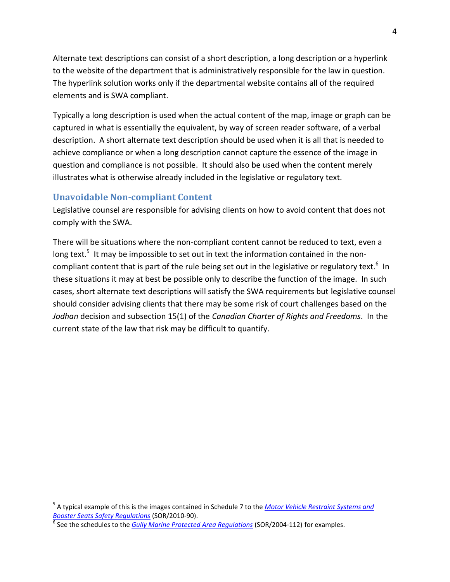Alternate text descriptions can consist of a short description, a long description or a hyperlink to the website of the department that is administratively responsible for the law in question. The hyperlink solution works only if the departmental website contains all of the required elements and is SWA compliant.

Typically a long description is used when the actual content of the map, image or graph can be captured in what is essentially the equivalent, by way of screen reader software, of a verbal description. A short alternate text description should be used when it is all that is needed to achieve compliance or when a long description cannot capture the essence of the image in question and compliance is not possible. It should also be used when the content merely illustrates what is otherwise already included in the legislative or regulatory text.

### **Unavoidable Non-compliant Content**

 $\overline{a}$ 

Legislative counsel are responsible for advising clients on how to avoid content that does not comply with the SWA.

There will be situations where the non-compliant content cannot be reduced to text, even a long text.<sup>5</sup> It may be impossible to set out in text the information contained in the noncompliant content that is part of the rule being set out in the legislative or regulatory text.<sup>6</sup> In these situations it may at best be possible only to describe the function of the image. In such cases, short alternate text descriptions will satisfy the SWA requirements but legislative counsel should consider advising clients that there may be some risk of court challenges based on the *Jodhan* decision and subsection 15(1) of the *Canadian Charter of Rights and Freedoms*. In the current state of the law that risk may be difficult to quantify.

<sup>5</sup> A typical example of this is the images contained in Schedule 7 to the *[Motor Vehicle Restraint Systems and](http://laws-lois.justice.gc.ca/PDF/SOR-2010-90.pdf)  [Booster Seats Safety Regulations](http://laws-lois.justice.gc.ca/PDF/SOR-2010-90.pdf)* (SOR/2010-90).

<sup>&</sup>lt;sup>6</sup> See the schedules to the *[Gully Marine Protected Area Regulations](http://laws-lois.justice.gc.ca/PDF/SOR-2004-112.pdf)* (SOR/2004-112) for examples.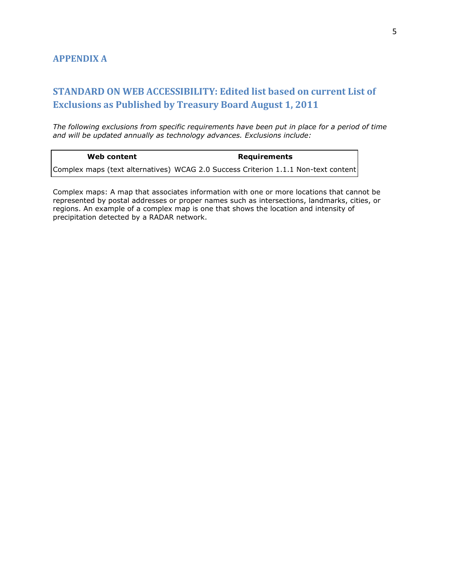## **STANDARD ON WEB ACCESSIBILITY: Edited list based on current List of Exclusions as Published by Treasury Board August 1, 2011**

*The following exclusions from specific requirements have been put in place for a period of time and will be updated annually as technology advances. Exclusions include:* 

| Web content | <b>Requirements</b>                                                                |
|-------------|------------------------------------------------------------------------------------|
|             | Complex maps (text alternatives) WCAG 2.0 Success Criterion 1.1.1 Non-text content |

Complex maps: A map that associates information with one or more locations that cannot be represented by postal addresses or proper names such as intersections, landmarks, cities, or regions. An example of a complex map is one that shows the location and intensity of precipitation detected by a RADAR network.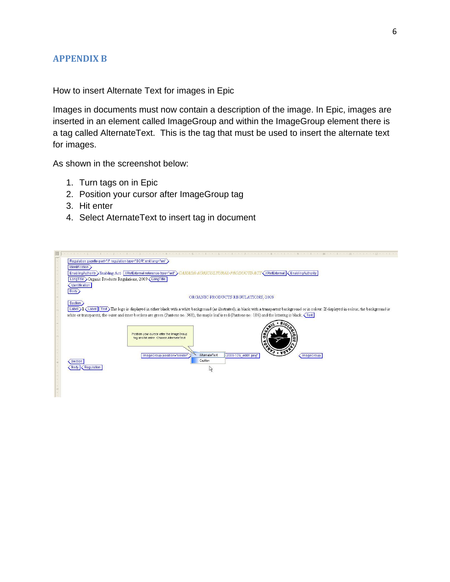#### **APPENDIX B**

How to insert Alternate Text for images in Epic

Images in documents must now contain a description of the image. In Epic, images are inserted in an element called ImageGroup and within the ImageGroup element there is a tag called AlternateText. This is the tag that must be used to insert the alternate text for images.

As shown in the screenshot below:

- 1. Turn tags on in Epic
- 2. Position your cursor after ImageGroup tag
- 3. Hit enter
- 4. Select AternateText to insert tag in document